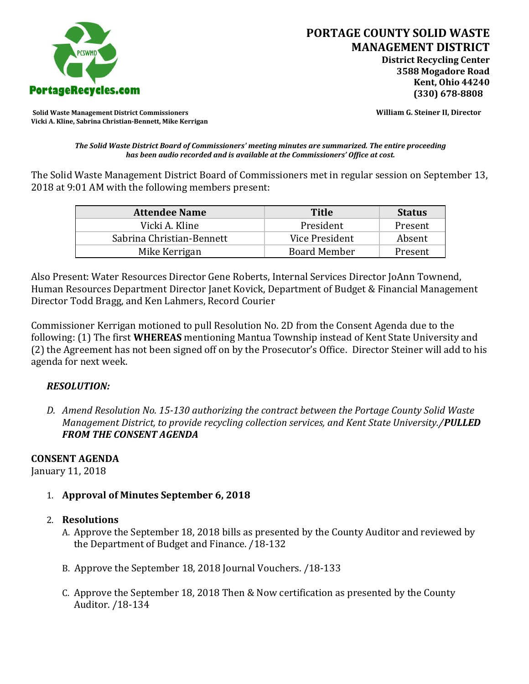

**Solid Waste Management District Commissioners William G. Steiner II, Director Vicki A. Kline, Sabrina Christian-Bennett, Mike Kerrigan** 

*The Solid Waste District Board of Commissioners' meeting minutes are summarized. The entire proceeding has been audio recorded and is available at the Commissioners' Office at cost.*

The Solid Waste Management District Board of Commissioners met in regular session on September 13, 2018 at 9:01 AM with the following members present:

| <b>Attendee Name</b>      | <b>Title</b>        | <b>Status</b> |
|---------------------------|---------------------|---------------|
| Vicki A. Kline            | President           | Present       |
| Sabrina Christian-Bennett | Vice President      | Absent        |
| Mike Kerrigan             | <b>Board Member</b> | Present       |

Also Present: Water Resources Director Gene Roberts, Internal Services Director JoAnn Townend, Human Resources Department Director Janet Kovick, Department of Budget & Financial Management Director Todd Bragg, and Ken Lahmers, Record Courier

Commissioner Kerrigan motioned to pull Resolution No. 2D from the Consent Agenda due to the following: (1) The first **WHEREAS** mentioning Mantua Township instead of Kent State University and (2) the Agreement has not been signed off on by the Prosecutor's Office. Director Steiner will add to his agenda for next week.

## *RESOLUTION:*

*D. Amend Resolution No. 15-130 authorizing the contract between the Portage County Solid Waste Management District, to provide recycling collection services, and Kent State University./PULLED FROM THE CONSENT AGENDA*

## **CONSENT AGENDA**

January 11, 2018

1. **Approval of Minutes September 6, 2018**

# 2. **Resolutions**

- A. Approve the September 18, 2018 bills as presented by the County Auditor and reviewed by the Department of Budget and Finance. /18-132
- B. Approve the September 18, 2018 Journal Vouchers. /18-133
- C. Approve the September 18, 2018 Then & Now certification as presented by the County Auditor. /18-134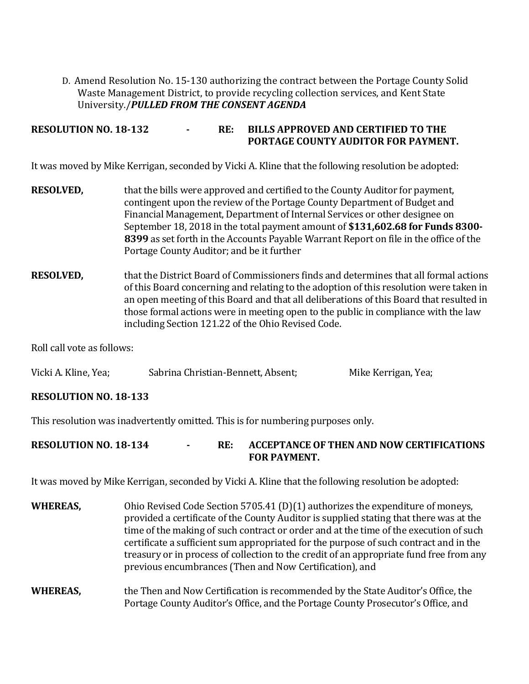D. Amend Resolution No. 15-130 authorizing the contract between the Portage County Solid Waste Management District, to provide recycling collection services, and Kent State University./*PULLED FROM THE CONSENT AGENDA*

**RESOLUTION NO. 18-132 - RE: BILLS APPROVED AND CERTIFIED TO THE PORTAGE COUNTY AUDITOR FOR PAYMENT.** 

It was moved by Mike Kerrigan, seconded by Vicki A. Kline that the following resolution be adopted:

- **RESOLVED,** that the bills were approved and certified to the County Auditor for payment, contingent upon the review of the Portage County Department of Budget and Financial Management, Department of Internal Services or other designee on September 18, 2018 in the total payment amount of **\$131,602.68 for Funds 8300- 8399** as set forth in the Accounts Payable Warrant Report on file in the office of the Portage County Auditor; and be it further
- **RESOLVED,** that the District Board of Commissioners finds and determines that all formal actions of this Board concerning and relating to the adoption of this resolution were taken in an open meeting of this Board and that all deliberations of this Board that resulted in those formal actions were in meeting open to the public in compliance with the law including Section 121.22 of the Ohio Revised Code.

Roll call vote as follows:

| Vicki A. Kline, Yea; | Sabrina Christian-Bennett, Absent, | Mike Kerrigan, Yea; |
|----------------------|------------------------------------|---------------------|
|                      |                                    |                     |

# **RESOLUTION NO. 18-133**

This resolution was inadvertently omitted. This is for numbering purposes only.

# **RESOLUTION NO. 18-134 - RE: ACCEPTANCE OF THEN AND NOW CERTIFICATIONS FOR PAYMENT.**

It was moved by Mike Kerrigan, seconded by Vicki A. Kline that the following resolution be adopted:

- **WHEREAS,** Ohio Revised Code Section 5705.41 (D)(1) authorizes the expenditure of moneys, provided a certificate of the County Auditor is supplied stating that there was at the time of the making of such contract or order and at the time of the execution of such certificate a sufficient sum appropriated for the purpose of such contract and in the treasury or in process of collection to the credit of an appropriate fund free from any previous encumbrances (Then and Now Certification), and
- **WHEREAS,** the Then and Now Certification is recommended by the State Auditor's Office, the Portage County Auditor's Office, and the Portage County Prosecutor's Office, and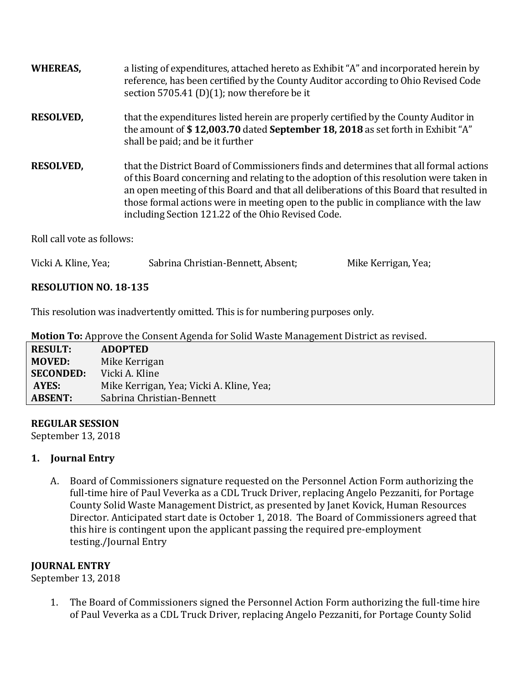| <b>WHEREAS,</b>            | a listing of expenditures, attached hereto as Exhibit "A" and incorporated herein by<br>reference, has been certified by the County Auditor according to Ohio Revised Code<br>section 5705.41 (D)(1); now therefore be it                                                                                                                                                                                              |
|----------------------------|------------------------------------------------------------------------------------------------------------------------------------------------------------------------------------------------------------------------------------------------------------------------------------------------------------------------------------------------------------------------------------------------------------------------|
| <b>RESOLVED,</b>           | that the expenditures listed herein are properly certified by the County Auditor in<br>the amount of \$12,003.70 dated September 18, 2018 as set forth in Exhibit "A"<br>shall be paid; and be it further                                                                                                                                                                                                              |
| <b>RESOLVED,</b>           | that the District Board of Commissioners finds and determines that all formal actions<br>of this Board concerning and relating to the adoption of this resolution were taken in<br>an open meeting of this Board and that all deliberations of this Board that resulted in<br>those formal actions were in meeting open to the public in compliance with the law<br>including Section 121.22 of the Ohio Revised Code. |
| Roll call vote as follows: |                                                                                                                                                                                                                                                                                                                                                                                                                        |

| Vicki A. Kline, Yea; | Sabrina Christian-Bennett, Absent; | Mike Kerrigan, Yea; |
|----------------------|------------------------------------|---------------------|
|----------------------|------------------------------------|---------------------|

# **RESOLUTION NO. 18-135**

This resolution was inadvertently omitted. This is for numbering purposes only.

|  | Motion To: Approve the Consent Agenda for Solid Waste Management District as revised. |  |  |
|--|---------------------------------------------------------------------------------------|--|--|
|  |                                                                                       |  |  |

| <b>RESULT:</b>   | <b>ADOPTED</b>                           |
|------------------|------------------------------------------|
| <b>MOVED:</b>    | Mike Kerrigan                            |
| <b>SECONDED:</b> | Vicki A. Kline                           |
| AYES:            | Mike Kerrigan, Yea; Vicki A. Kline, Yea; |
| <b>ABSENT:</b>   | Sabrina Christian-Bennett                |

## **REGULAR SESSION**

September 13, 2018

# **1. Journal Entry**

A. Board of Commissioners signature requested on the Personnel Action Form authorizing the full-time hire of Paul Veverka as a CDL Truck Driver, replacing Angelo Pezzaniti, for Portage County Solid Waste Management District, as presented by Janet Kovick, Human Resources Director. Anticipated start date is October 1, 2018. The Board of Commissioners agreed that this hire is contingent upon the applicant passing the required pre-employment testing./Journal Entry

# **JOURNAL ENTRY**

September 13, 2018

1. The Board of Commissioners signed the Personnel Action Form authorizing the full-time hire of Paul Veverka as a CDL Truck Driver, replacing Angelo Pezzaniti, for Portage County Solid